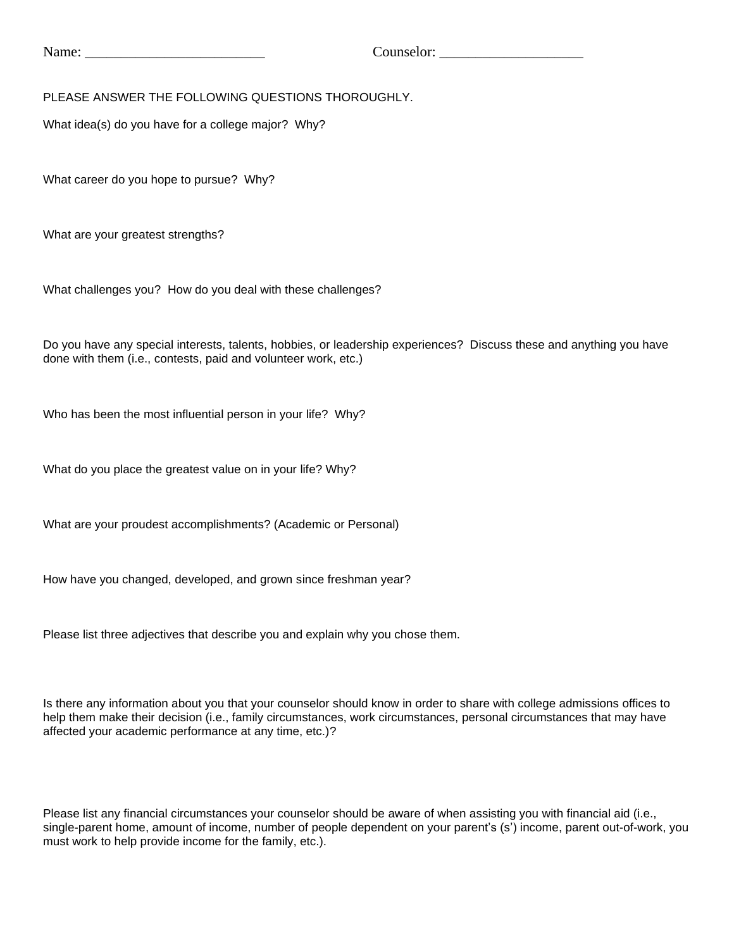PLEASE ANSWER THE FOLLOWING QUESTIONS THOROUGHLY.

What idea(s) do you have for a college major? Why?

What career do you hope to pursue? Why?

What are your greatest strengths?

What challenges you? How do you deal with these challenges?

Do you have any special interests, talents, hobbies, or leadership experiences? Discuss these and anything you have done with them (i.e., contests, paid and volunteer work, etc.)

Who has been the most influential person in your life? Why?

What do you place the greatest value on in your life? Why?

What are your proudest accomplishments? (Academic or Personal)

How have you changed, developed, and grown since freshman year?

Please list three adjectives that describe you and explain why you chose them.

Is there any information about you that your counselor should know in order to share with college admissions offices to help them make their decision (i.e., family circumstances, work circumstances, personal circumstances that may have affected your academic performance at any time, etc.)?

Please list any financial circumstances your counselor should be aware of when assisting you with financial aid (i.e., single-parent home, amount of income, number of people dependent on your parent's (s') income, parent out-of-work, you must work to help provide income for the family, etc.).